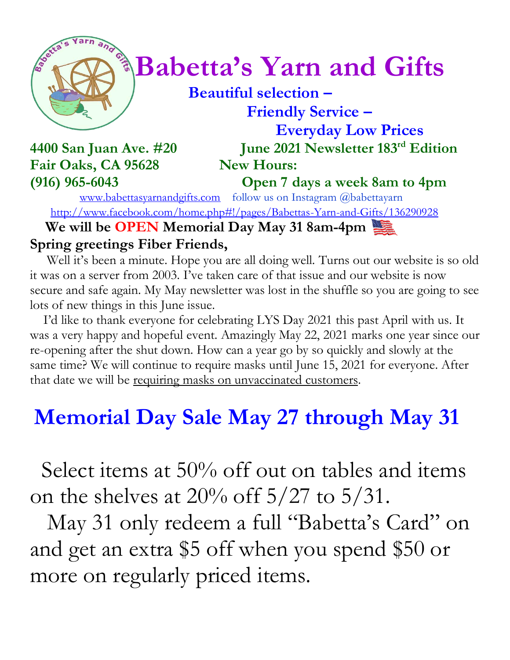

# *Constrainary***</del> Babetta's Yarn and Gifts**

 **Beautiful selection – Friendly Service –**

 **Everyday Low Prices 4400 San Juan Ave. #20 June 2021 Newsletter 183 rd Edition** Fair Oaks, CA 95628 New Hours:

**(916) 965-6043 Open 7 days a week 8am to 4pm**

[www.babettasyarnandgifts.com](http://www.babettasyarnandgifts.com/) follow us on Instagram @babettayarn <http://www.facebook.com/home.php#!/pages/Babettas-Yarn-and-Gifts/136290928>

 **We will be OPEN Memorial Day May 31 8am-4pm Spring greetings Fiber Friends,**

 Well it's been a minute. Hope you are all doing well. Turns out our website is so old it was on a server from 2003. I've taken care of that issue and our website is now secure and safe again. My May newsletter was lost in the shuffle so you are going to see lots of new things in this June issue.

 I'd like to thank everyone for celebrating LYS Day 2021 this past April with us. It was a very happy and hopeful event. Amazingly May 22, 2021 marks one year since our re-opening after the shut down. How can a year go by so quickly and slowly at the same time? We will continue to require masks until June 15, 2021 for everyone. After that date we will be requiring masks on unvaccinated customers.

## **Memorial Day Sale May 27 through May 31**

 Select items at 50% off out on tables and items on the shelves at  $20\%$  off  $5/27$  to  $5/31$ .

 May 31 only redeem a full "Babetta's Card" on and get an extra \$5 off when you spend \$50 or more on regularly priced items.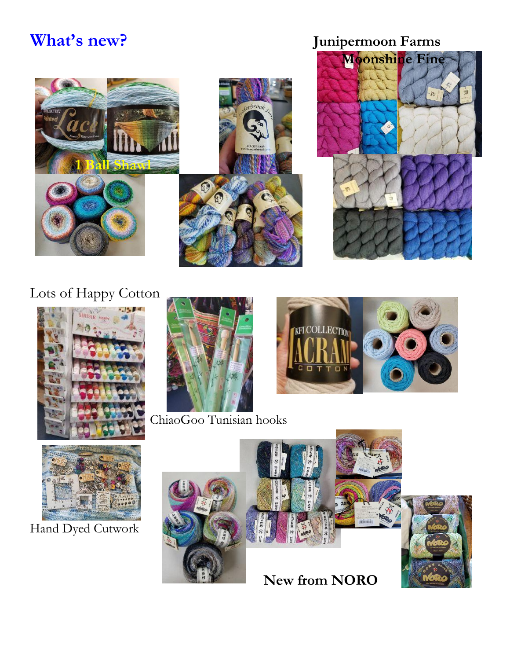#### **What's new? Junipermoon Farms**

J



#### Lots of Happy Cotton





ChiaoGoo Tunisian hooks





Hand Dyed Cutwork



**New from NORO**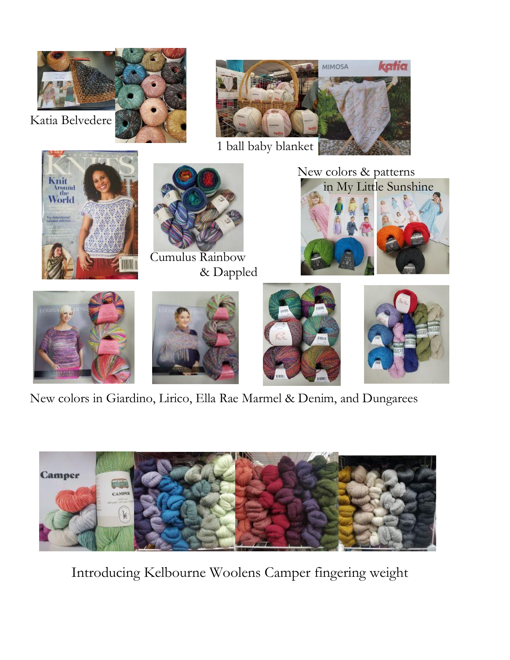







Cumulus Rainbow & Dappled











New colors in Giardino, Lirico, Ella Rae Marmel & Denim, and Dungarees



Introducing Kelbourne Woolens Camper fingering weight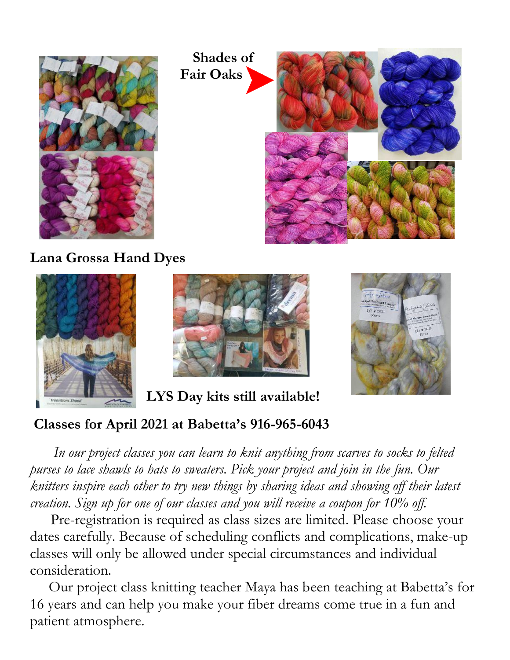



**Lana Grossa Hand Dyes**







#### **Classes for April 2021 at Babetta's 916-965-6043**

 *In our project classes you can learn to knit anything from scarves to socks to felted purses to lace shawls to hats to sweaters. Pick your project and join in the fun. Our knitters inspire each other to try new things by sharing ideas and showing off their latest creation. Sign up for one of our classes and you will receive a coupon for 10% off.*

Pre-registration is required as class sizes are limited. Please choose your dates carefully. Because of scheduling conflicts and complications, make-up classes will only be allowed under special circumstances and individual consideration.

Our project class knitting teacher Maya has been teaching at Babetta's for 16 years and can help you make your fiber dreams come true in a fun and patient atmosphere.